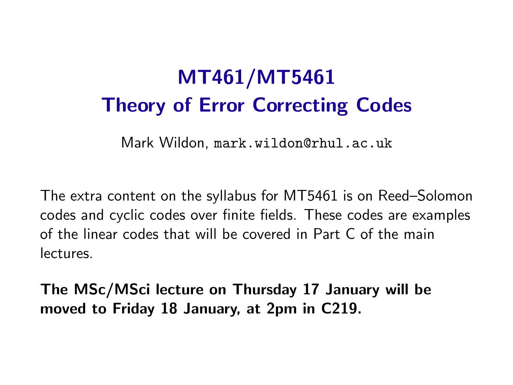# MT461/MT5461 Theory of Error Correcting Codes

Mark Wildon, <mark.wildon@rhul.ac.uk>

The extra content on the syllabus for MT5461 is on Reed–Solomon codes and cyclic codes over finite fields. These codes are examples of the linear codes that will be covered in Part C of the main lectures.

The MSc/MSci lecture on Thursday 17 January will be moved to Friday 18 January, at 2pm in C219.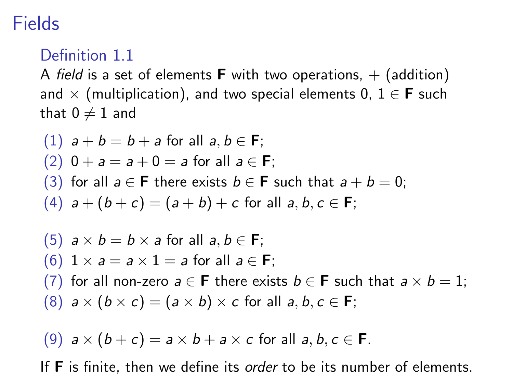# **Fields**

### Definition 1.1

A field is a set of elements **F** with two operations,  $+$  (addition) and  $\times$  (multiplication), and two special elements 0,  $1 \in F$  such that  $0 \neq 1$  and

\n- (1) 
$$
a + b = b + a
$$
 for all  $a, b \in F$ ;
\n- (2)  $0 + a = a + 0 = a$  for all  $a \in F$ ;
\n- (3) for all  $a \in F$  there exists  $b \in F$  such that  $a + b = 0$ ;
\n- (4)  $a + (b + c) = (a + b) + c$  for all  $a, b, c \in F$ ;
\n- (5)  $a \times b = b \times a$  for all  $a, b \in F$ ;
\n- (6)  $1 \times a = a \times 1 = a$  for all  $a \in F$ ;
\n- (7) for all non-zero  $a \in F$  there exists  $b \in F$  such that  $a \times b = 1$ ;
\n- (8)  $a \times (b \times c) = (a \times b) \times c$  for all  $a, b, c \in F$ ;
\n

(9)  $a \times (b + c) = a \times b + a \times c$  for all  $a, b, c \in F$ .

If **F** is finite, then we define its *order* to be its number of elements.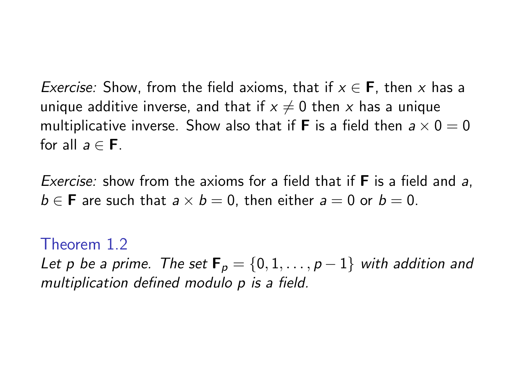*Exercise:* Show, from the field axioms, that if  $x \in F$ , then x has a unique additive inverse, and that if  $x \neq 0$  then x has a unique multiplicative inverse. Show also that if **F** is a field then  $a \times 0 = 0$ for all  $a \in F$ .

Exercise: show from the axioms for a field that if **F** is a field and a,  $b \in \mathbf{F}$  are such that  $a \times b = 0$ , then either  $a = 0$  or  $b = 0$ .

Theorem 1.2 Let p be a prime. The set  $\mathbf{F}_p = \{0, 1, \ldots, p-1\}$  with addition and multiplication defined modulo p is a field.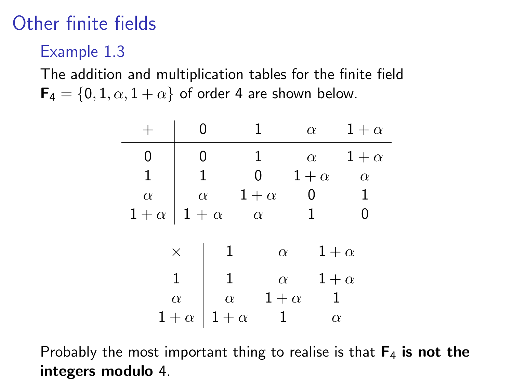# Other finite fields

Example 1.3

The addition and multiplication tables for the finite field  $\mathbf{F}_4 = \{0, 1, \alpha, 1 + \alpha\}$  of order 4 are shown below.

|              |          |                |              | $\alpha$   |            | $1+\alpha$ |            |
|--------------|----------|----------------|--------------|------------|------------|------------|------------|
| 0            |          | 0              |              | 1          | $\alpha$   |            | $1+\alpha$ |
| $\mathbf{1}$ |          | $\overline{1}$ |              | 0          | $1+\alpha$ |            | $\alpha$   |
| $\alpha$     |          |                | $\alpha$     | $1+\alpha$ | 0          |            | 1          |
| $1+\alpha$   |          | $1 + \alpha$   |              | $\alpha$   |            |            |            |
|              |          | $\times$       | $\mathbf{1}$ | $\alpha$   |            | $1+\alpha$ |            |
|              |          |                | 1            |            | $\alpha$   | $1+\alpha$ |            |
|              | $\alpha$ |                | $\alpha$     | $1+\alpha$ |            | -1         |            |
|              |          | $1+\alpha$     | $1+\alpha$   |            |            | $\alpha$   |            |

Probably the most important thing to realise is that  $F_4$  is not the integers modulo 4.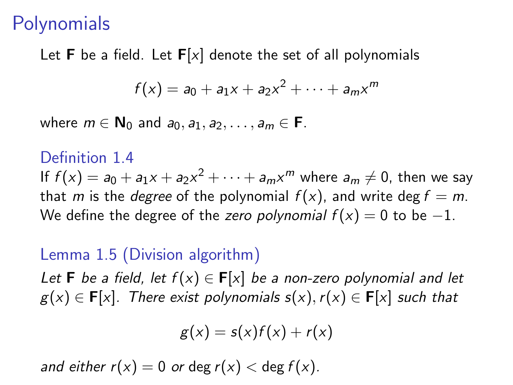### **Polynomials**

Let **F** be a field. Let  $F[x]$  denote the set of all polynomials

$$
f(x) = a_0 + a_1x + a_2x^2 + \cdots + a_mx^m
$$

where  $m \in \mathbb{N}_0$  and  $a_0, a_1, a_2, \ldots, a_m \in \mathbb{F}$ .

#### Definition 1.4

If  $f(x) = a_0 + a_1x + a_2x^2 + \cdots + a_mx^m$  where  $a_m \neq 0$ , then we say that m is the *degree* of the polynomial  $f(x)$ , and write deg  $f = m$ . We define the degree of the zero polynomial  $f(x) = 0$  to be -1.

### Lemma 1.5 (Division algorithm)

Let **F** be a field, let  $f(x) \in F[x]$  be a non-zero polynomial and let  $g(x) \in F[x]$ . There exist polynomials  $s(x)$ ,  $r(x) \in F[x]$  such that

$$
g(x) = s(x)f(x) + r(x)
$$

and either  $r(x) = 0$  or deg  $r(x) <$  deg  $f(x)$ .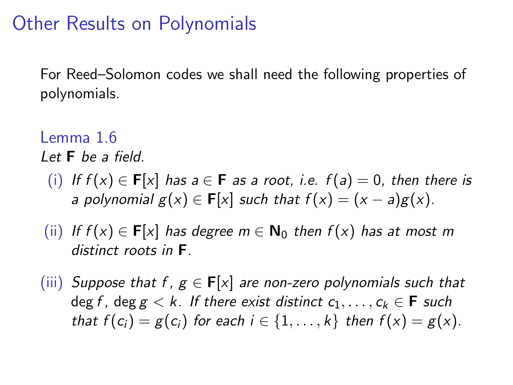## Other Results on Polynomials

For Reed–Solomon codes we shall need the following properties of polynomials.

#### Lemma 1.6 Let  $F$  be a field.

- (i) If  $f(x) \in F[x]$  has  $a \in F$  as a root, i.e.  $f(a) = 0$ , then there is a polynomial  $g(x) \in F[x]$  such that  $f(x) = (x - a)g(x)$ .
- (ii) If  $f(x) \in F[x]$  has degree  $m \in N_0$  then  $f(x)$  has at most m distinct roots in F.
- (iii) Suppose that f,  $g \in F[x]$  are non-zero polynomials such that deg f, deg  $g < k$ . If there exist distinct  $c_1, \ldots, c_k \in \mathbf{F}$  such that  $f(c_i) = g(c_i)$  for each  $i \in \{1, \ldots, k\}$  then  $f(x) = g(x)$ .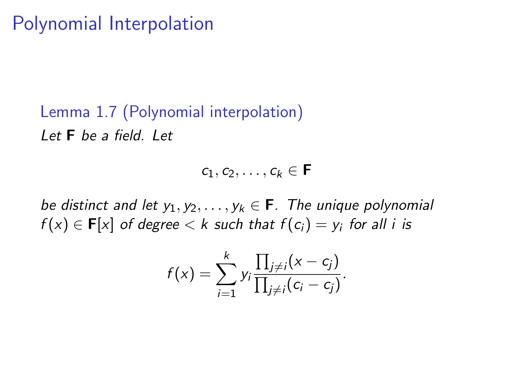## Polynomial Interpolation

Lemma 1.7 (Polynomial interpolation) Let  $F$  be a field. Let

 $c_1, c_2, \ldots, c_k \in \mathsf{F}$ 

be distinct and let  $y_1, y_2, \ldots, y_k \in \mathbf{F}$ . The unique polynomial  $f(x)\in\mathbf{F}[x]$  of degree  $< k$  such that  $f(c_i)=y_i$  for all  $i$  is

$$
f(x)=\sum_{i=1}^k y_i \frac{\prod_{j\neq i}(x-c_j)}{\prod_{j\neq i}(c_i-c_j)}.
$$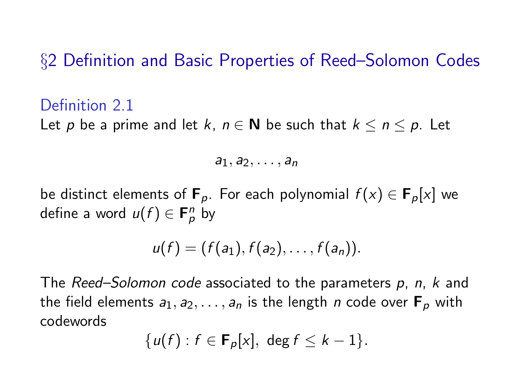§2 Definition and Basic Properties of Reed–Solomon Codes

#### Definition 2.1

Let p be a prime and let k,  $n \in \mathbb{N}$  be such that  $k \leq n \leq p$ . Let

 $a_1, a_2, \ldots, a_n$ 

be distinct elements of  $\mathbf{F}_p$ . For each polynomial  $f(x) \in \mathbf{F}_p[x]$  we define a word  $u(f) \in \mathbf{F}_p^n$  by

$$
u(f)=(f(a_1),f(a_2),\ldots,f(a_n)).
$$

The Reed–Solomon code associated to the parameters p, n, k and the field elements  $a_1, a_2, \ldots, a_n$  is the length n code over  $\mathbf{F}_p$  with codewords

$$
\{u(f):f\in\mathbf{F}_p[x],\ \deg f\leq k-1\}.
$$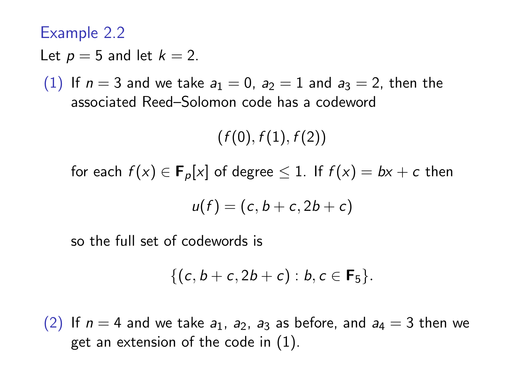Example 2.2

Let  $p = 5$  and let  $k = 2$ .

(1) If  $n = 3$  and we take  $a_1 = 0$ ,  $a_2 = 1$  and  $a_3 = 2$ , then the associated Reed–Solomon code has a codeword

 $(f(0), f(1), f(2))$ 

for each  $f(x) \in \mathbf{F}_p[x]$  of degree  $\leq 1$ . If  $f(x) = bx + c$  then

$$
u(f)=(c,b+c,2b+c)
$$

so the full set of codewords is

$$
\{(c, b+c, 2b+c) : b, c \in \mathbf{F}_5\}.
$$

(2) If  $n = 4$  and we take  $a_1$ ,  $a_2$ ,  $a_3$  as before, and  $a_4 = 3$  then we get an extension of the code in (1).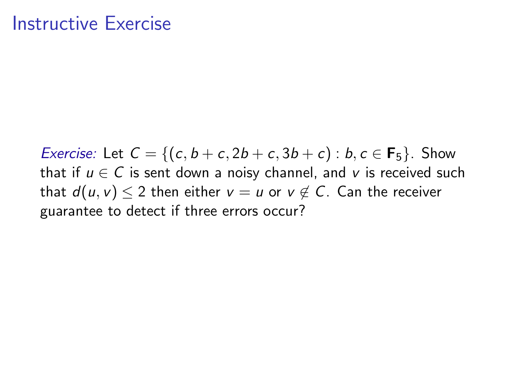### Instructive Exercise

*Exercise:* Let  $C = \{(c, b + c, 2b + c, 3b + c) : b, c \in \mathbf{F}_5\}$ . Show that if  $u \in C$  is sent down a noisy channel, and v is received such that  $d(u, v) \leq 2$  then either  $v = u$  or  $v \notin C$ . Can the receiver guarantee to detect if three errors occur?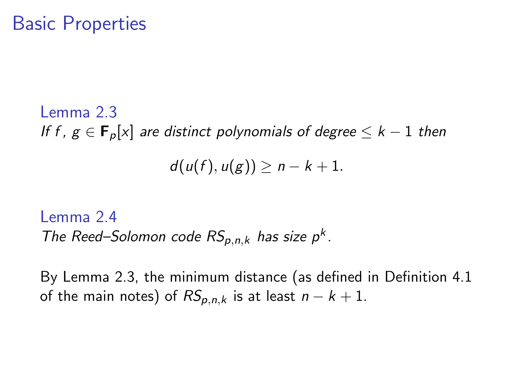### Basic Properties

Lemma 2.3 If f,  $g \in \mathbf{F}_p[x]$  are distinct polynomials of degree  $\leq k-1$  then  $d(u(f), u(g)) > n - k + 1.$ 

Lemma 2.4 The Reed–Solomon code  $RS_{p,n,k}$  has size  $p^k$ .

By Lemma 2.3, the minimum distance (as defined in Definition 4.1 of the main notes) of  $RS_{p,n,k}$  is at least  $n - k + 1$ .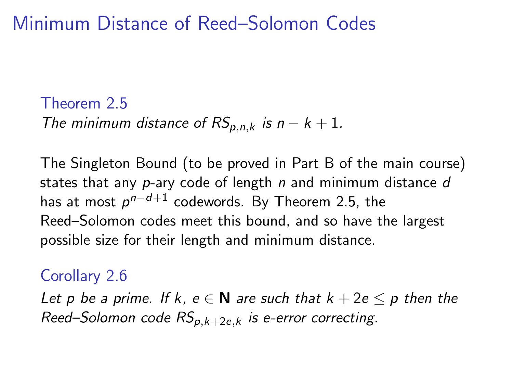# Minimum Distance of Reed–Solomon Codes

### Theorem 2.5 The minimum distance of  $RS_{p,n,k}$  is  $n - k + 1$ .

The Singleton Bound (to be proved in Part B of the main course) states that any  $p$ -ary code of length  $n$  and minimum distance  $d$ has at most  $\rho^{n-d+1}$  codewords. By Theorem 2.5, the Reed–Solomon codes meet this bound, and so have the largest possible size for their length and minimum distance.

### Corollary 2.6

Let p be a prime. If k,  $e \in N$  are such that  $k + 2e \le p$  then the Reed–Solomon code  $RS_{p,k+2e,k}$  is e-error correcting.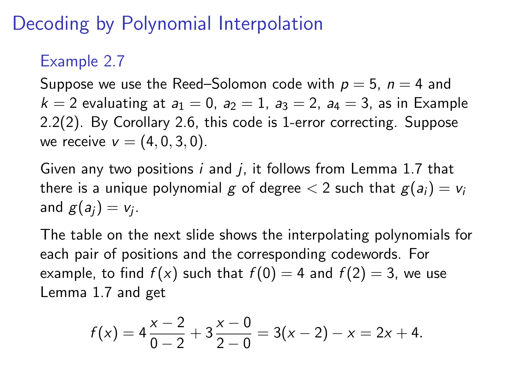# Decoding by Polynomial Interpolation

### Example 2.7

Suppose we use the Reed–Solomon code with  $p = 5$ ,  $n = 4$  and  $k = 2$  evaluating at  $a_1 = 0$ ,  $a_2 = 1$ ,  $a_3 = 2$ ,  $a_4 = 3$ , as in Example 2.2(2). By Corollary 2.6, this code is 1-error correcting. Suppose we receive  $v = (4, 0, 3, 0)$ .

Given any two positions  $i$  and  $j$ , it follows from Lemma 1.7 that there is a unique polynomial g of degree  $\lt 2$  such that  $g(a_i) = v_i$ and  $g(a_j) = v_j$ .

The table on the next slide shows the interpolating polynomials for each pair of positions and the corresponding codewords. For example, to find  $f(x)$  such that  $f(0) = 4$  and  $f(2) = 3$ , we use Lemma 1.7 and get

$$
f(x) = 4\frac{x-2}{0-2} + 3\frac{x-0}{2-0} = 3(x-2) - x = 2x + 4.
$$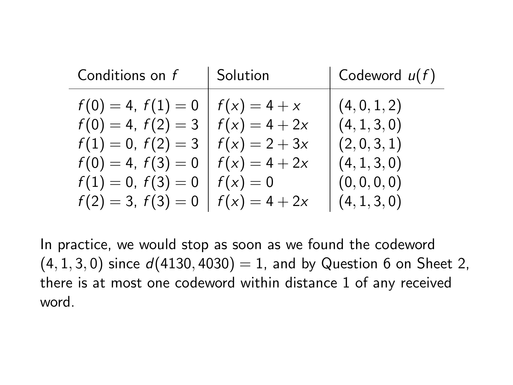| Conditions on f                                                                                                                 | Solution                          | $\vert$ Codeword $u(f)$                                   |
|---------------------------------------------------------------------------------------------------------------------------------|-----------------------------------|-----------------------------------------------------------|
| $f(0) = 4, f(1) = 0$<br>$f(0) = 4, f(2) = 3   f(x) = 4 + 2x$<br>$f(1) = 0, f(2) = 3$<br>$f(0) = 4, f(3) = 0 \mid f(x) = 4 + 2x$ | $f(x) = 4 + x$<br>$f(x) = 2 + 3x$ | (4, 0, 1, 2)<br>(4, 1, 3, 0)<br>(2,0,3,1)<br>(4, 1, 3, 0) |
| $f(1)=0, f(3)=0$<br>$f(2) = 3$ , $f(3) = 0$   $f(x) = 4 + 2x$                                                                   | $f(x)=0$                          | (0, 0, 0, 0)<br>(4, 1, 3, 0)                              |

In practice, we would stop as soon as we found the codeword  $(4, 1, 3, 0)$  since  $d(4130, 4030) = 1$ , and by Question 6 on Sheet 2, there is at most one codeword within distance 1 of any received word.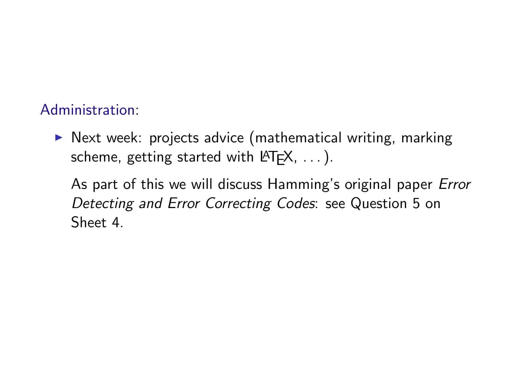#### Administration:

 $\triangleright$  Next week: projects advice (mathematical writing, marking scheme, getting started with  $\text{LTFX}, \ldots$ ).

As part of this we will discuss Hamming's original paper Error Detecting and Error Correcting Codes: see Question 5 on Sheet 4.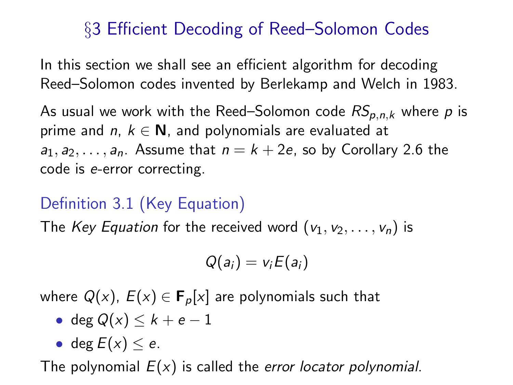### §3 Efficient Decoding of Reed–Solomon Codes

In this section we shall see an efficient algorithm for decoding Reed–Solomon codes invented by Berlekamp and Welch in 1983.

As usual we work with the Reed–Solomon code  $RS_{p,n,k}$  where p is prime and n,  $k \in \mathbb{N}$ , and polynomials are evaluated at  $a_1, a_2, \ldots, a_n$ . Assume that  $n = k + 2e$ , so by Corollary 2.6 the code is e-error correcting.

### Definition 3.1 (Key Equation)

The Key Equation for the received word  $(v_1, v_2, \ldots, v_n)$  is

$$
Q(a_i) = v_i E(a_i)
$$

where  $Q(x)$ ,  $E(x) \in \mathbf{F}_p[x]$  are polynomials such that

• deg 
$$
Q(x) \leq k + e - 1
$$

• 
$$
\deg E(x) \leq e
$$
.

The polynomial  $E(x)$  is called the error locator polynomial.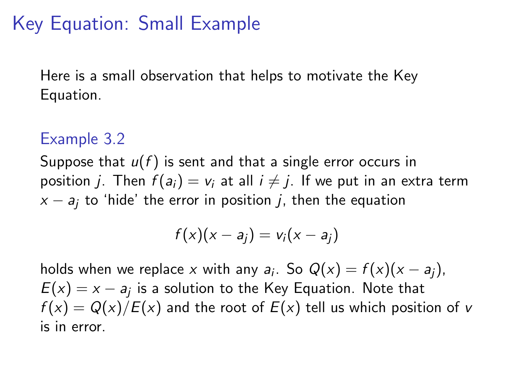# Key Equation: Small Example

Here is a small observation that helps to motivate the Key Equation.

### Example 3.2

Suppose that  $u(f)$  is sent and that a single error occurs in position j. Then  $f(a_i) = v_i$  at all  $i \neq j$ . If we put in an extra term  $x - a_i$  to 'hide' the error in position j, then the equation

$$
f(x)(x-a_j)=v_i(x-a_j)
$$

holds when we replace  $x$  with any  $a_i$ . So  $Q(x) = f(x)(x - a_j)$ ,  $E(x) = x - a_j$  is a solution to the Key Equation. Note that  $f(x) = Q(x)/E(x)$  and the root of  $E(x)$  tell us which position of v is in error.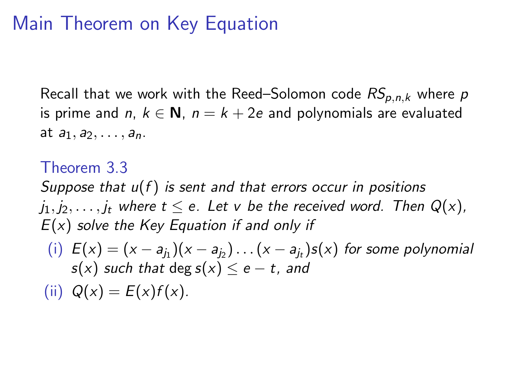# Main Theorem on Key Equation

Recall that we work with the Reed–Solomon code  $RS_{p,n,k}$  where  $p$ is prime and n,  $k \in \mathbb{N}$ ,  $n = k + 2e$  and polynomials are evaluated at  $a_1, a_2, \ldots, a_n$ .

Theorem 3.3 Suppose that  $u(f)$  is sent and that errors occur in positions  $j_1, j_2, \ldots, j_t$  where  $t \le e$ . Let v be the received word. Then  $Q(x)$ ,  $E(x)$  solve the Key Equation if and only if

 $(i) E(x) = (x - a_{j_1})(x - a_{j_2}) \dots (x - a_{j_t})s(x)$  for some polynomial  $s(x)$  such that deg  $s(x) \le e - t$ , and

(ii)  $Q(x) = E(x)f(x)$ .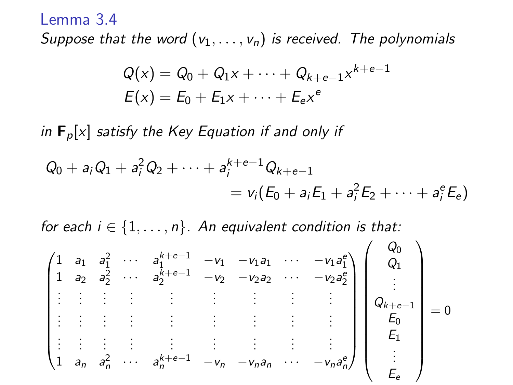#### Lemma 3.4

Suppose that the word  $(v_1, \ldots, v_n)$  is received. The polynomials

$$
Q(x) = Q_0 + Q_1 x + \dots + Q_{k+e-1} x^{k+e-1}
$$
  

$$
E(x) = E_0 + E_1 x + \dots + E_e x^e
$$

in  $\mathbf{F}_p[x]$  satisfy the Key Equation if and only if

$$
Q_0 + a_i Q_1 + a_i^2 Q_2 + \cdots + a_i^{k+e-1} Q_{k+e-1}
$$
  
=  $v_i (E_0 + a_i E_1 + a_i^2 E_2 + \cdots + a_i^e E_e)$ 

for each  $i \in \{1, \ldots, n\}$ . An equivalent condition is that:

$$
\begin{pmatrix}\n1 & a_1 & a_1^2 & \cdots & a_1^{k+e-1} & -v_1 & -v_1a_1 & \cdots & -v_1a_1^e \\
1 & a_2 & a_2^2 & \cdots & a_2^{k+e-1} & -v_2 & -v_2a_2 & \cdots & -v_2a_2^e \\
\vdots & \vdots & \vdots & \vdots & \vdots & \vdots & \vdots & \vdots \\
\vdots & \vdots & \vdots & \vdots & \vdots & \vdots & \vdots \\
1 & a_n & a_n^2 & \cdots & a_n^{k+e-1} & -v_n & -v_na_n & \cdots & -v_na_n^e\n\end{pmatrix}\n\begin{pmatrix}\nQ_0 \\
Q_1 \\
\vdots \\
Q_{k+e-1} \\
E_0 \\
E_1 \\
\vdots \\
E_e\n\end{pmatrix} = 0
$$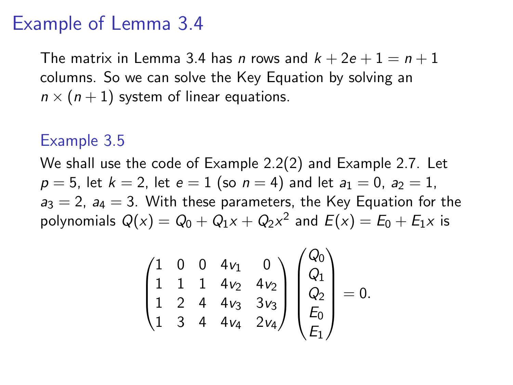### Example of Lemma 3.4

The matrix in Lemma 3.4 has *n* rows and  $k + 2e + 1 = n + 1$ columns. So we can solve the Key Equation by solving an  $n \times (n+1)$  system of linear equations.

#### Example 3.5

We shall use the code of Example 2.2(2) and Example 2.7. Let  $p = 5$ , let  $k = 2$ , let  $e = 1$  (so  $n = 4$ ) and let  $a_1 = 0$ ,  $a_2 = 1$ ,  $a_3 = 2$ ,  $a_4 = 3$ . With these parameters, the Key Equation for the polynomials  $Q(x) = Q_0 + Q_1x + Q_2x^2$  and  $E(x) = E_0 + E_1x$  is

$$
\begin{pmatrix} 1 & 0 & 0 & 4v_1 & 0 \\ 1 & 1 & 1 & 4v_2 & 4v_2 \\ 1 & 2 & 4 & 4v_3 & 3v_3 \\ 1 & 3 & 4 & 4v_4 & 2v_4 \end{pmatrix} \begin{pmatrix} Q_0 \\ Q_1 \\ Q_2 \\ E_0 \\ E_1 \end{pmatrix} = 0.
$$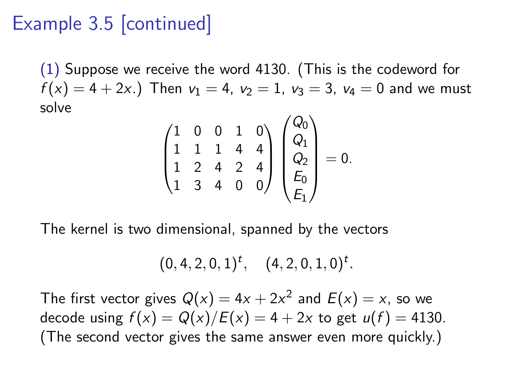# Example 3.5 [continued]

(1) Suppose we receive the word 4130. (This is the codeword for  $f(x) = 4 + 2x.$ ) Then  $v_1 = 4$ ,  $v_2 = 1$ ,  $v_3 = 3$ ,  $v_4 = 0$  and we must solve

$$
\begin{pmatrix} 1 & 0 & 0 & 1 & 0 \ 1 & 1 & 1 & 4 & 4 \ 1 & 2 & 4 & 2 & 4 \ 1 & 3 & 4 & 0 & 0 \end{pmatrix} \begin{pmatrix} Q_0 \ Q_1 \ Q_2 \ E_0 \ E_1 \end{pmatrix} = 0.
$$

The kernel is two dimensional, spanned by the vectors

$$
(0,4,2,0,1)^t, \quad (4,2,0,1,0)^t.
$$

The first vector gives  $Q(x) = 4x + 2x^2$  and  $E(x) = x$ , so we decode using  $f(x) = Q(x)/E(x) = 4 + 2x$  to get  $u(f) = 4130$ . (The second vector gives the same answer even more quickly.)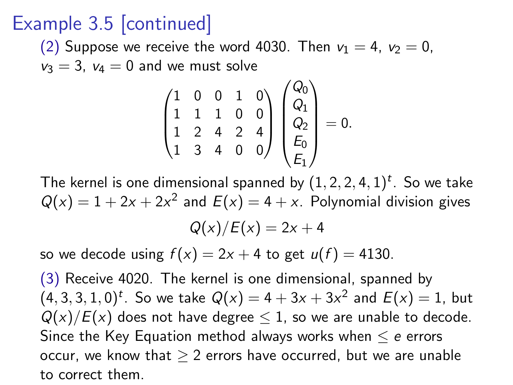# Example 3.5 [continued]

(2) Suppose we receive the word 4030. Then  $v_1 = 4$ ,  $v_2 = 0$ ,  $v_3 = 3$ ,  $v_4 = 0$  and we must solve

$$
\begin{pmatrix} 1 & 0 & 0 & 1 & 0 \\ 1 & 1 & 1 & 0 & 0 \\ 1 & 2 & 4 & 2 & 4 \\ 1 & 3 & 4 & 0 & 0 \end{pmatrix} \begin{pmatrix} Q_0 \\ Q_1 \\ Q_2 \\ E_0 \\ E_1 \end{pmatrix} = 0.
$$

The kernel is one dimensional spanned by  $(1, 2, 2, 4, 1)^t$ . So we take  $Q(x) = 1 + 2x + 2x^2$  and  $E(x) = 4 + x$ . Polynomial division gives  $Q(x)/E(x) = 2x + 4$ 

so we decode using  $f(x) = 2x + 4$  to get  $u(f) = 4130$ .

(3) Receive 4020. The kernel is one dimensional, spanned by  $(4, 3, 3, 1, 0)^t$ . So we take  $Q(x) = 4 + 3x + 3x^2$  and  $E(x) = 1$ , but  $Q(x)/E(x)$  does not have degree  $\leq 1$ , so we are unable to decode. Since the Key Equation method always works when  $\leq e$  errors occur, we know that  $> 2$  errors have occurred, but we are unable to correct them.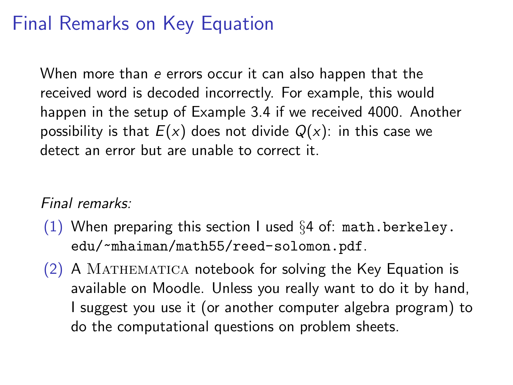# Final Remarks on Key Equation

When more than e errors occur it can also happen that the received word is decoded incorrectly. For example, this would happen in the setup of Example 3.4 if we received 4000. Another possibility is that  $E(x)$  does not divide  $Q(x)$ : in this case we detect an error but are unable to correct it.

#### Final remarks:

- (1) When preparing this section I used  $\S 4$  of: [math.berkeley.](math.berkeley.edu/~mhaiman/math55/reed-solomon.pdf) [edu/~mhaiman/math55/reed-solomon.pdf](math.berkeley.edu/~mhaiman/math55/reed-solomon.pdf).
- $(2)$  A MATHEMATICA notebook for solving the Key Equation is available on Moodle. Unless you really want to do it by hand, I suggest you use it (or another computer algebra program) to do the computational questions on problem sheets.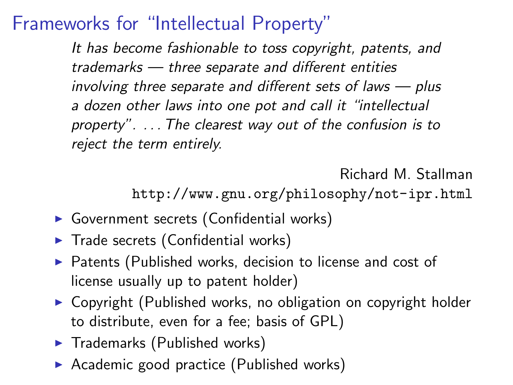## Frameworks for "Intellectual Property"

It has become fashionable to toss copyright, patents, and trademarks — three separate and different entities involving three separate and different sets of laws — plus a dozen other laws into one pot and call it "intellectual property". . . . The clearest way out of the confusion is to reject the term entirely.

Richard M. Stallman

<http://www.gnu.org/philosophy/not-ipr.html>

- $\triangleright$  Government secrets (Confidential works)
- $\blacktriangleright$  Trade secrets (Confidential works)
- $\triangleright$  Patents (Published works, decision to license and cost of license usually up to patent holder)
- $\triangleright$  Copyright (Published works, no obligation on copyright holder to distribute, even for a fee; basis of GPL)
- $\blacktriangleright$  Trademarks (Published works)
- Academic good practice (Published works)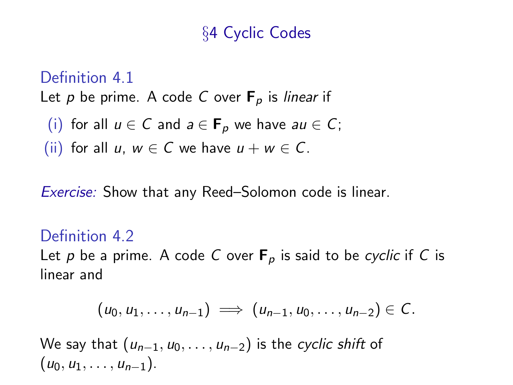### §4 Cyclic Codes

#### Definition 4.1

Let p be prime. A code C over  $F_p$  is linear if

(i) for all 
$$
u \in C
$$
 and  $a \in F_p$  we have  $au \in C$ ;

(ii) for all u,  $w \in C$  we have  $u + w \in C$ .

Exercise: Show that any Reed–Solomon code is linear.

#### Definition 4.2

Let p be a prime. A code C over  $F_p$  is said to be cyclic if C is linear and

$$
(u_0, u_1, \ldots, u_{n-1}) \implies (u_{n-1}, u_0, \ldots, u_{n-2}) \in C.
$$

We say that  $(u_{n-1}, u_0, \ldots, u_{n-2})$  is the cyclic shift of  $(u_0, u_1, \ldots, u_{n-1}).$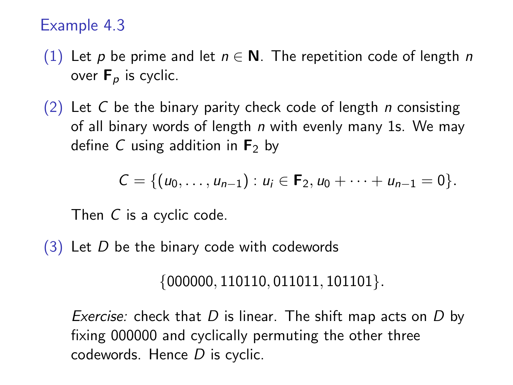#### Example 4.3

- (1) Let p be prime and let  $n \in \mathbb{N}$ . The repetition code of length n over  $F_p$  is cyclic.
- $(2)$  Let C be the binary parity check code of length *n* consisting of all binary words of length  $n$  with evenly many 1s. We may define C using addition in  $F_2$  by

$$
C = \{(u_0, \ldots, u_{n-1}) : u_i \in \mathbf{F}_2, u_0 + \cdots + u_{n-1} = 0\}.
$$

Then C is a cyclic code.

 $(3)$  Let D be the binary code with codewords

 $\{000000, 110110, 011011, 101101\}.$ 

*Exercise:* check that  $D$  is linear. The shift map acts on  $D$  by fixing 000000 and cyclically permuting the other three codewords. Hence D is cyclic.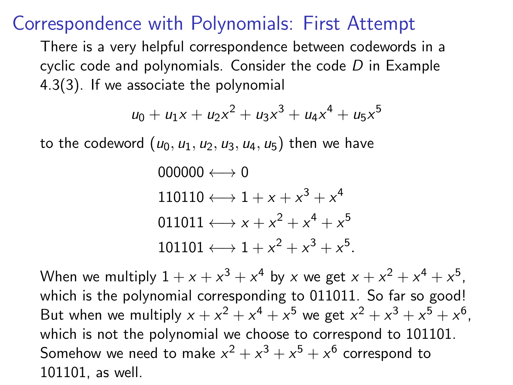### Correspondence with Polynomials: First Attempt

There is a very helpful correspondence between codewords in a cyclic code and polynomials. Consider the code  $D$  in Example 4.3(3). If we associate the polynomial

$$
u_0 + u_1x + u_2x^2 + u_3x^3 + u_4x^4 + u_5x^5
$$

to the codeword  $(u_0, u_1, u_2, u_3, u_4, u_5)$  then we have

$$
000000 \longleftrightarrow 0
$$
  
110110  $\longleftrightarrow$  1 + x + x<sup>3</sup> + x<sup>4</sup>  
011011  $\longleftrightarrow$  x + x<sup>2</sup> + x<sup>4</sup> + x<sup>5</sup>  
101101  $\longleftrightarrow$  1 + x<sup>2</sup> + x<sup>3</sup> + x<sup>5</sup>.

When we multiply  $1 + x + x^3 + x^4$  by x we get  $x + x^2 + x^4 + x^5$ , which is the polynomial corresponding to 011011. So far so good! But when we multiply  $x + x^2 + x^4 + x^5$  we get  $x^2 + x^3 + x^5 + x^6$ , which is not the polynomial we choose to correspond to 101101. Somehow we need to make  $x^2 + x^3 + x^5 + x^6$  correspond to 101101, as well.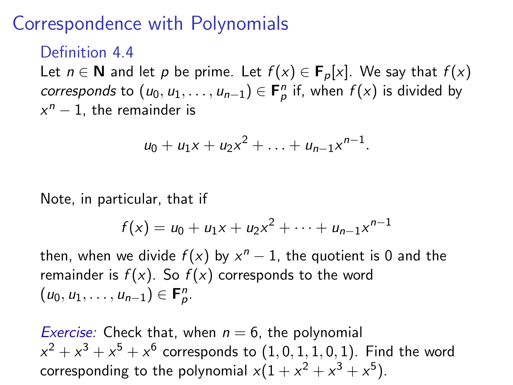# Correspondence with Polynomials

#### Definition 44

Let  $n \in \mathbb{N}$  and let p be prime. Let  $f(x) \in \mathbf{F}_p[x]$ . We say that  $f(x)$ corresponds to  $(u_0, u_1, \ldots, u_{n-1}) \in \mathbf{F}_p^n$  if, when  $f(x)$  is divided by  $x^n - 1$ , the remainder is

$$
u_0 + u_1 x + u_2 x^2 + \ldots + u_{n-1} x^{n-1}.
$$

Note, in particular, that if

$$
f(x) = u_0 + u_1 x + u_2 x^2 + \cdots + u_{n-1} x^{n-1}
$$

then, when we divide  $f(x)$  by  $x^n - 1$ , the quotient is 0 and the remainder is  $f(x)$ . So  $f(x)$  corresponds to the word  $(u_0, u_1, \ldots, u_{n-1}) \in \mathbf{F}_p^n$ .

*Exercise:* Check that, when  $n = 6$ , the polynomial  $x^2+x^3+x^5+x^6$  corresponds to  $(1,0,1,1,0,1).$  Find the word corresponding to the polynomial  $x(1 + x^2 + x^3 + x^5)$ .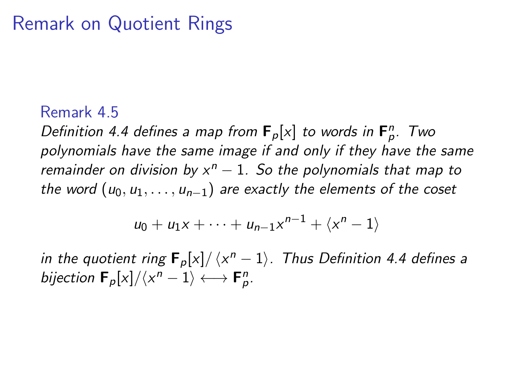## Remark on Quotient Rings

#### Remark 4.5

Definition 4.4 defines a map from  $F_p[x]$  to words in  $F_p^n$ . Two polynomials have the same image if and only if they have the same remainder on division by  $x^n - 1$ . So the polynomials that map to the word  $(u_0, u_1, \ldots, u_{n-1})$  are exactly the elements of the coset

$$
u_0+u_1x+\cdots+u_{n-1}x^{n-1}+\langle x^n-1\rangle
$$

in the quotient ring  $\mathbf{F}_p[x]/\langle x^n-1\rangle$ . Thus Definition 4.4 defines a bijection  $\mathbf{F}_p[x]/\langle x^n-1\rangle \longleftrightarrow \mathbf{F}_p^n$ .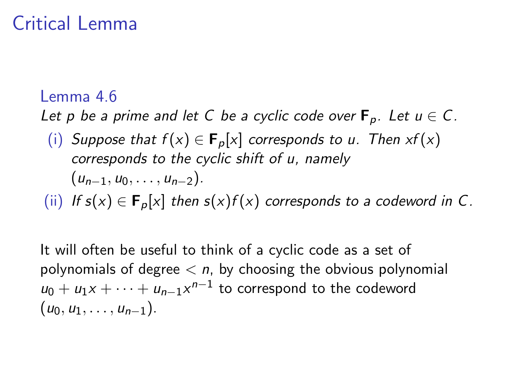# Critical Lemma

#### Lemma 4.6

Let p be a prime and let C be a cyclic code over  $F_p$ . Let  $u \in C$ .

(i) Suppose that  $f(x) \in \mathbf{F}_p[x]$  corresponds to u. Then  $xf(x)$ corresponds to the cyclic shift of u, namely  $(u_{n-1}, u_0, \ldots, u_{n-2}).$ 

(ii) If  $s(x) \in \mathbf{F}_p[x]$  then  $s(x)f(x)$  corresponds to a codeword in C.

It will often be useful to think of a cyclic code as a set of polynomials of degree  $\langle n, p\rangle$  choosing the obvious polynomial  $u_0 + u_1x + \cdots + u_{n-1}x^{n-1}$  to correspond to the codeword  $(u_0, u_1, \ldots, u_{n-1}).$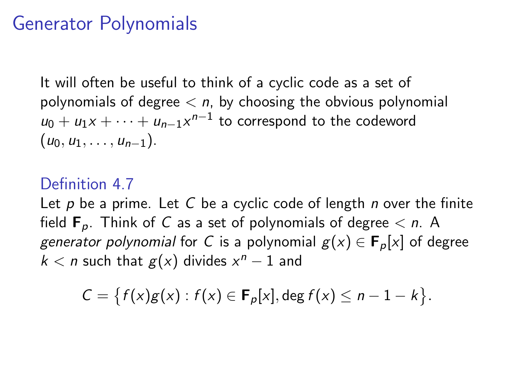### Generator Polynomials

It will often be useful to think of a cyclic code as a set of polynomials of degree  $\langle n, p\rangle$  choosing the obvious polynomial  $u_0 + u_1x + \cdots + u_{n-1}x^{n-1}$  to correspond to the codeword  $(u_0, u_1, \ldots, u_{n-1}).$ 

#### Definition 4.7

Let  $p$  be a prime. Let  $C$  be a cyclic code of length  $n$  over the finite field  $\mathbf{F}_p$ . Think of C as a set of polynomials of degree  $\leq n$ . A generator polynomial for C is a polynomial  $g(x) \in \mathbf{F}_p[x]$  of degree  $k < n$  such that  $g(x)$  divides  $x^n - 1$  and

$$
C = \{f(x)g(x) : f(x) \in \mathbf{F}_p[x], \deg f(x) \leq n-1-k\}.
$$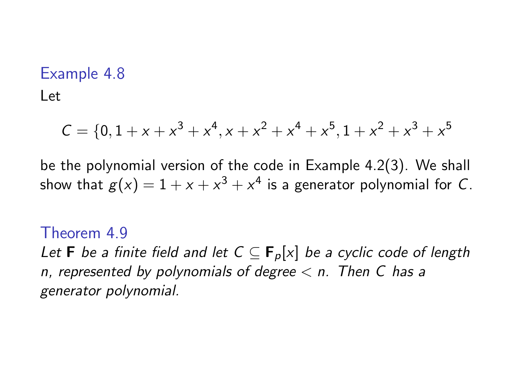### Example 4.8

Let

$$
\mathcal{C} = \{0, 1 + x + x^3 + x^4, x + x^2 + x^4 + x^5, 1 + x^2 + x^3 + x^5
$$

be the polynomial version of the code in Example 4.2(3). We shall show that  $g(x)=1+x+x^3+x^4$  is a generator polynomial for  $C.$ 

#### Theorem 4.9

Let **F** be a finite field and let  $C \subseteq F_p[x]$  be a cyclic code of length n, represented by polynomials of degree  $\lt$  n. Then C has a generator polynomial.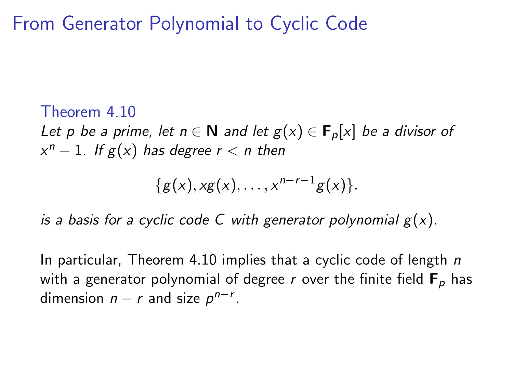From Generator Polynomial to Cyclic Code

#### Theorem 4.10

Let p be a prime, let  $n \in \mathbb{N}$  and let  $g(x) \in \mathbf{F}_p[x]$  be a divisor of  $x^n - 1$ . If  $g(x)$  has degree  $r < n$  then

$$
\{g(x), xg(x), \ldots, x^{n-r-1}g(x)\}.
$$

is a basis for a cyclic code C with generator polynomial  $g(x)$ .

In particular, Theorem 4.10 implies that a cyclic code of length  $n$ with a generator polynomial of degree r over the finite field  $F_p$  has dimension  $n - r$  and size  $p^{n-r}$ .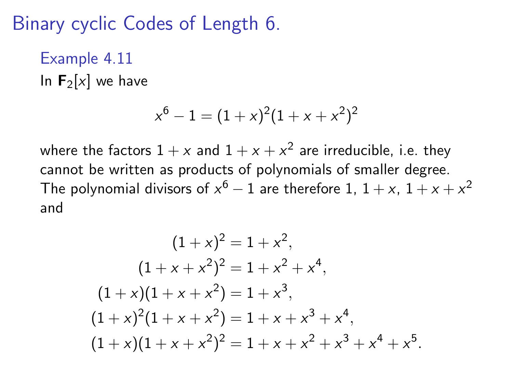Binary cyclic Codes of Length 6.

### Example 4.11

In  $F_2[x]$  we have

$$
x^6 - 1 = (1 + x)^2 (1 + x + x^2)^2
$$

where the factors  $1+x$  and  $1+x+x^2$  are irreducible, i.e. they cannot be written as products of polynomials of smaller degree. The polynomial divisors of  $x^6-1$  are therefore 1,  $1+x$ ,  $1+x+x^2$ and

$$
(1+x)^2 = 1 + x^2,
$$
  
\n
$$
(1+x+x^2)^2 = 1 + x^2 + x^4,
$$
  
\n
$$
(1+x)(1+x+x^2) = 1 + x^3,
$$
  
\n
$$
(1+x)^2(1+x+x^2) = 1 + x + x^3 + x^4,
$$
  
\n
$$
(1+x)(1+x+x^2)^2 = 1 + x + x^2 + x^3 + x^4 + x^5.
$$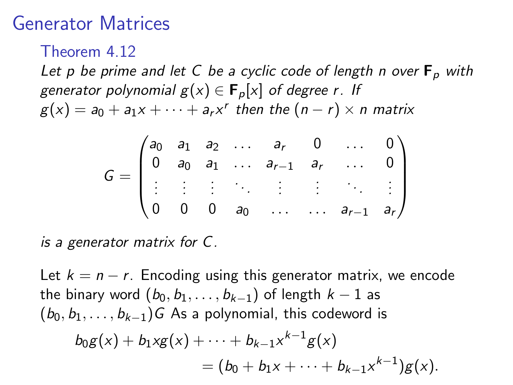### Generator Matrices

Theorem 4.12

Let p be prime and let C be a cyclic code of length n over  $F_p$  with generator polynomial  $g(x) \in \mathbf{F}_p[x]$  of degree r. If  $g(x) = a_0 + a_1x + \cdots + a_rx^r$  then the  $(n - r) \times n$  matrix

$$
G = \begin{pmatrix} a_0 & a_1 & a_2 & \dots & a_r & 0 & \dots & 0 \\ 0 & a_0 & a_1 & \dots & a_{r-1} & a_r & \dots & 0 \\ \vdots & \vdots & \vdots & \ddots & \vdots & \vdots & \ddots & \vdots \\ 0 & 0 & 0 & a_0 & \dots & \dots & a_{r-1} & a_r \end{pmatrix}
$$

is a generator matrix for C.

Let  $k = n - r$ . Encoding using this generator matrix, we encode the binary word  $(b_0, b_1, \ldots, b_{k-1})$  of length  $k-1$  as  $(b_0, b_1, \ldots, b_{k-1})$  G As a polynomial, this codeword is  $b_0 g(x) + b_1 x g(x) + \cdots + b_{k-1} x^{k-1} g(x)$  $=(b_0+b_1x+\cdots+b_{k-1}x^{k-1})g(x).$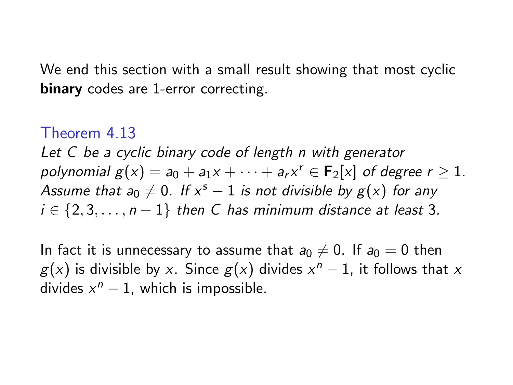We end this section with a small result showing that most cyclic binary codes are 1-error correcting.

#### Theorem 4.13

Let C be a cyclic binary code of length n with generator polynomial  $g(x) = a_0 + a_1x + \cdots + a_rx^r \in F_2[x]$  of degree  $r \ge 1$ . Assume that a $_0 \neq 0$ . If  $x^s - 1$  is not divisible by  $g(x)$  for any  $i \in \{2, 3, \ldots, n-1\}$  then C has minimum distance at least 3.

In fact it is unnecessary to assume that  $a_0 \neq 0$ . If  $a_0 = 0$  then  $g(x)$  is divisible by x. Since  $g(x)$  divides  $x^n - 1$ , it follows that x divides  $x^n - 1$ , which is impossible.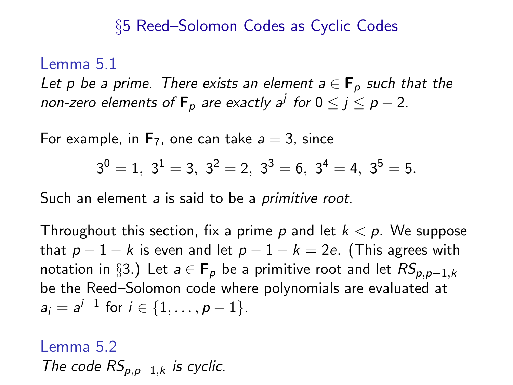#### §5 Reed–Solomon Codes as Cyclic Codes

#### Lemma 5.1

Let p be a prime. There exists an element  $a \in \mathbf{F}_p$  such that the non-zero elements of  $\textsf{F}_p$  are exactly a<sup>j</sup> for  $0 \leq j \leq p-2$ .

For example, in  $\mathbf{F}_7$ , one can take  $a = 3$ , since

$$
3^0 = 1, \ 3^1 = 3, \ 3^2 = 2, \ 3^3 = 6, \ 3^4 = 4, \ 3^5 = 5.
$$

Such an element a is said to be a *primitive root*.

Throughout this section, fix a prime p and let  $k < p$ . We suppose that  $p-1-k$  is even and let  $p-1-k=2e$ . (This agrees with notation in §3.) Let  $a \in \mathbf{F}_p$  be a primitive root and let  $RS_{p,p-1,k}$ be the Reed–Solomon code where polynomials are evaluated at  $a_i = a^{i-1}$  for  $i \in \{1, ..., p-1\}$ .

### Lemma 5.2 The code  $RS_{p,p-1,k}$  is cyclic.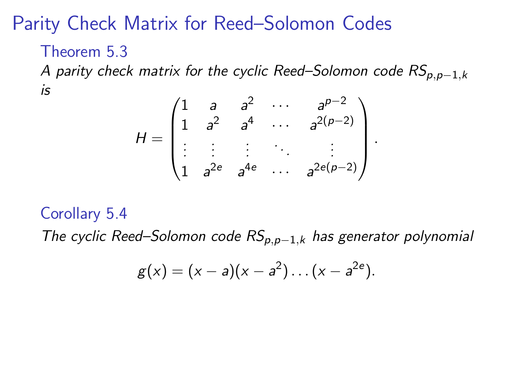# Parity Check Matrix for Reed–Solomon Codes

#### Theorem 5.3

A parity check matrix for the cyclic Reed–Solomon code  $RS_{p,p-1,k}$ is

$$
H = \begin{pmatrix} 1 & a & a^{2} & \cdots & a^{p-2} \\ 1 & a^{2} & a^{4} & \cdots & a^{2(p-2)} \\ \vdots & \vdots & \vdots & \ddots & \vdots \\ 1 & a^{2e} & a^{4e} & \cdots & a^{2e(p-2)} \end{pmatrix}
$$

.

### Corollary 5.4

The cyclic Reed–Solomon code  $RS_{p,p-1,k}$  has generator polynomial

$$
g(x) = (x - a)(x - a2) \dots (x - a2e).
$$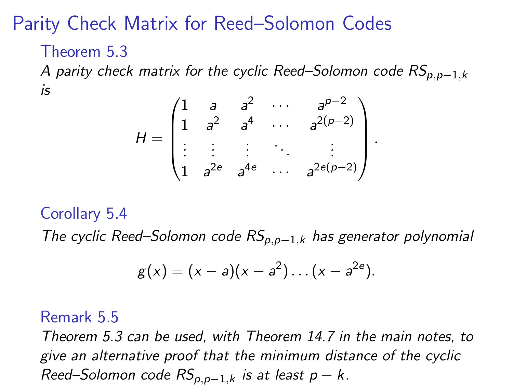# Parity Check Matrix for Reed–Solomon Codes

#### Theorem 5.3

A parity check matrix for the cyclic Reed–Solomon code  $RS_{p,p-1,k}$ is

$$
H = \begin{pmatrix} 1 & a & a^{2} & \cdots & a^{p-2} \\ 1 & a^{2} & a^{4} & \cdots & a^{2(p-2)} \\ \vdots & \vdots & \vdots & \ddots & \vdots \\ 1 & a^{2e} & a^{4e} & \cdots & a^{2e(p-2)} \end{pmatrix}
$$

.

### Corollary 5.4

The cyclic Reed–Solomon code  $RS_{p,p-1,k}$  has generator polynomial

$$
g(x) = (x - a)(x - a2) \dots (x - a2e).
$$

#### Remark 5.5

Theorem 5.3 can be used, with Theorem 14.7 in the main notes, to give an alternative proof that the minimum distance of the cyclic Reed–Solomon code  $RS_{p,p-1,k}$  is at least  $p-k$ .